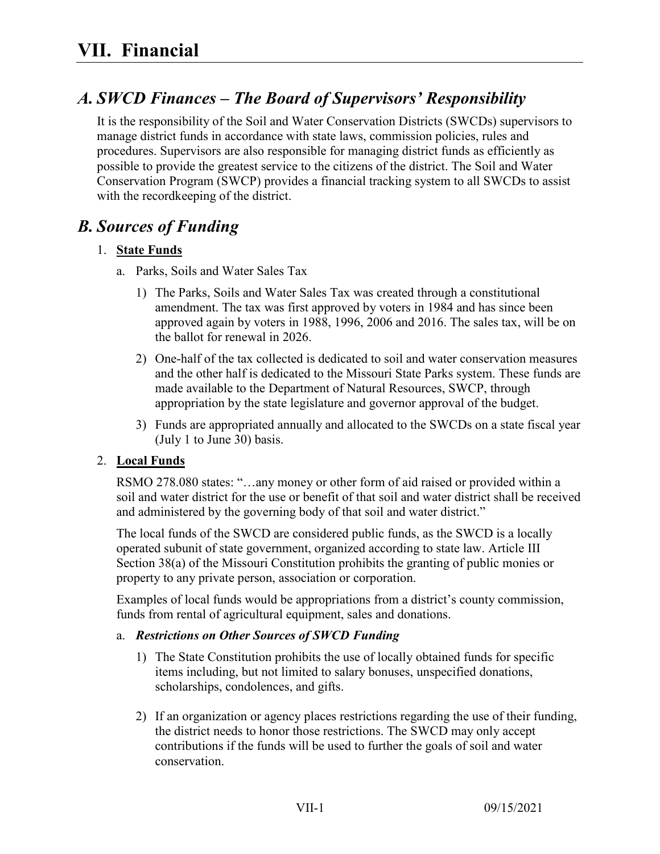# *A. SWCD Finances – The Board of Supervisors' Responsibility*

It is the responsibility of the Soil and Water Conservation Districts (SWCDs) supervisors to manage district funds in accordance with state laws, commission policies, rules and procedures. Supervisors are also responsible for managing district funds as efficiently as possible to provide the greatest service to the citizens of the district. The Soil and Water Conservation Program (SWCP) provides a financial tracking system to all SWCDs to assist with the recordkeeping of the district.

## *B. Sources of Funding*

### 1. **State Funds**

- a. Parks, Soils and Water Sales Tax
	- 1) The Parks, Soils and Water Sales Tax was created through a constitutional amendment. The tax was first approved by voters in 1984 and has since been approved again by voters in 1988, 1996, 2006 and 2016. The sales tax, will be on the ballot for renewal in 2026.
	- 2) One-half of the tax collected is dedicated to soil and water conservation measures and the other half is dedicated to the Missouri State Parks system. These funds are made available to the Department of Natural Resources, SWCP, through appropriation by the state legislature and governor approval of the budget.
	- 3) Funds are appropriated annually and allocated to the SWCDs on a state fiscal year (July 1 to June 30) basis.

### 2. **Local Funds**

RSMO 278.080 states: "…any money or other form of aid raised or provided within a soil and water district for the use or benefit of that soil and water district shall be received and administered by the governing body of that soil and water district."

The local funds of the SWCD are considered public funds, as the SWCD is a locally operated subunit of state government, organized according to state law. Article III Section 38(a) of the Missouri Constitution prohibits the granting of public monies or property to any private person, association or corporation.

Examples of local funds would be appropriations from a district's county commission, funds from rental of agricultural equipment, sales and donations.

#### a. *Restrictions on Other Sources of SWCD Funding*

- 1) The State Constitution prohibits the use of locally obtained funds for specific items including, but not limited to salary bonuses, unspecified donations, scholarships, condolences, and gifts.
- 2) If an organization or agency places restrictions regarding the use of their funding, the district needs to honor those restrictions. The SWCD may only accept contributions if the funds will be used to further the goals of soil and water conservation.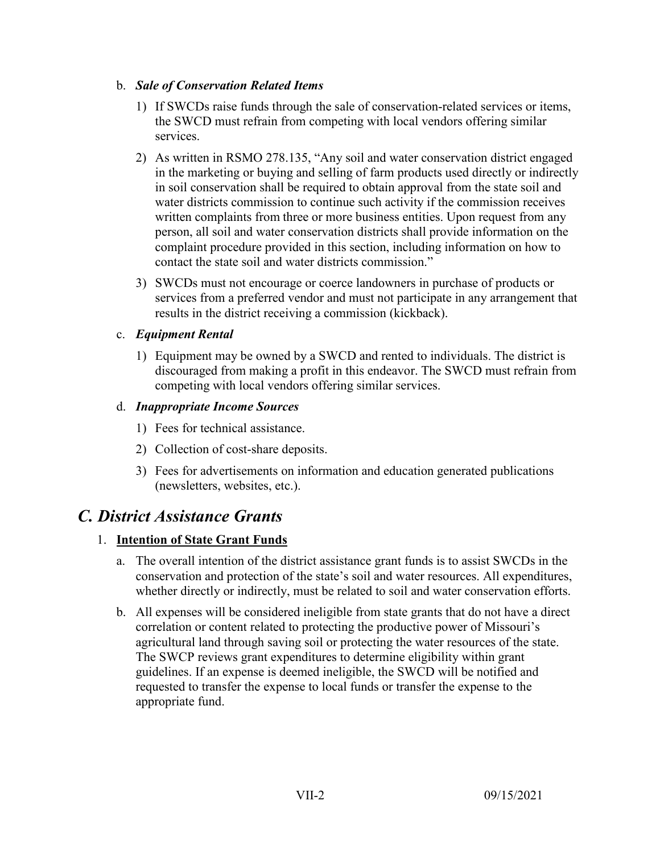#### b. *Sale of Conservation Related Items*

- 1) If SWCDs raise funds through the sale of conservation-related services or items, the SWCD must refrain from competing with local vendors offering similar services.
- 2) As written in RSMO 278.135, "Any soil and water conservation district engaged in the marketing or buying and selling of farm products used directly or indirectly in soil conservation shall be required to obtain approval from the state soil and water districts commission to continue such activity if the commission receives written complaints from three or more business entities. Upon request from any person, all soil and water conservation districts shall provide information on the complaint procedure provided in this section, including information on how to contact the state soil and water districts commission."
- 3) SWCDs must not encourage or coerce landowners in purchase of products or services from a preferred vendor and must not participate in any arrangement that results in the district receiving a commission (kickback).

### c. *Equipment Rental*

1) Equipment may be owned by a SWCD and rented to individuals. The district is discouraged from making a profit in this endeavor. The SWCD must refrain from competing with local vendors offering similar services.

## d. *Inappropriate Income Sources*

- 1) Fees for technical assistance.
- 2) Collection of cost-share deposits.
- 3) Fees for advertisements on information and education generated publications (newsletters, websites, etc.).

## *C. District Assistance Grants*

## 1. **Intention of State Grant Funds**

- a. The overall intention of the district assistance grant funds is to assist SWCDs in the conservation and protection of the state's soil and water resources. All expenditures, whether directly or indirectly, must be related to soil and water conservation efforts.
- b. All expenses will be considered ineligible from state grants that do not have a direct correlation or content related to protecting the productive power of Missouri's agricultural land through saving soil or protecting the water resources of the state. The SWCP reviews grant expenditures to determine eligibility within grant guidelines. If an expense is deemed ineligible, the SWCD will be notified and requested to transfer the expense to local funds or transfer the expense to the appropriate fund.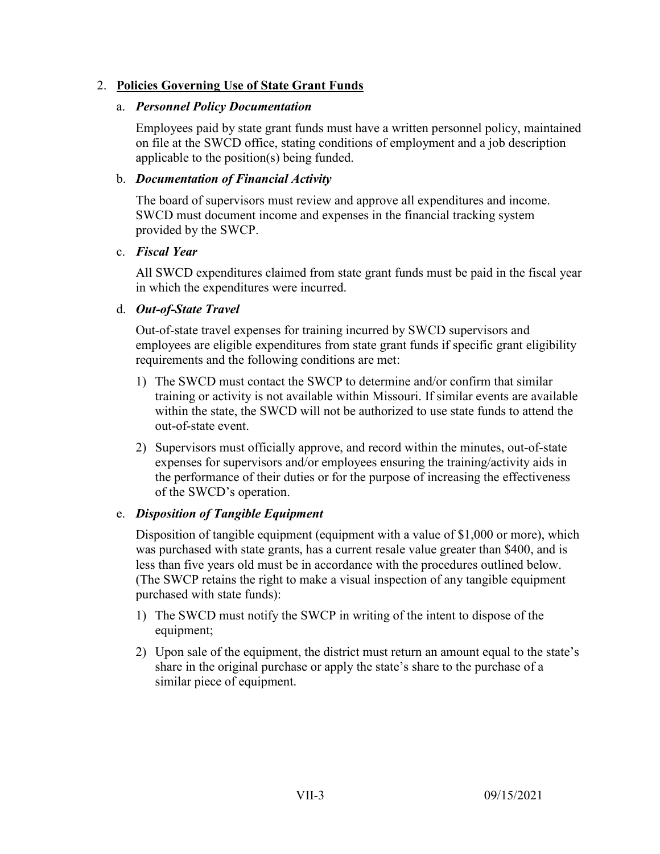### 2. **Policies Governing Use of State Grant Funds**

#### a. *Personnel Policy Documentation*

Employees paid by state grant funds must have a written personnel policy, maintained on file at the SWCD office, stating conditions of employment and a job description applicable to the position(s) being funded.

#### b. *Documentation of Financial Activity*

The board of supervisors must review and approve all expenditures and income. SWCD must document income and expenses in the financial tracking system provided by the SWCP.

#### c. *Fiscal Year*

All SWCD expenditures claimed from state grant funds must be paid in the fiscal year in which the expenditures were incurred.

### d. *Out-of-State Travel*

Out-of-state travel expenses for training incurred by SWCD supervisors and employees are eligible expenditures from state grant funds if specific grant eligibility requirements and the following conditions are met:

- 1) The SWCD must contact the SWCP to determine and/or confirm that similar training or activity is not available within Missouri. If similar events are available within the state, the SWCD will not be authorized to use state funds to attend the out-of-state event.
- 2) Supervisors must officially approve, and record within the minutes, out-of-state expenses for supervisors and/or employees ensuring the training/activity aids in the performance of their duties or for the purpose of increasing the effectiveness of the SWCD's operation.

### e. *Disposition of Tangible Equipment*

Disposition of tangible equipment (equipment with a value of \$1,000 or more), which was purchased with state grants, has a current resale value greater than \$400, and is less than five years old must be in accordance with the procedures outlined below. (The SWCP retains the right to make a visual inspection of any tangible equipment purchased with state funds):

- 1) The SWCD must notify the SWCP in writing of the intent to dispose of the equipment;
- 2) Upon sale of the equipment, the district must return an amount equal to the state's share in the original purchase or apply the state's share to the purchase of a similar piece of equipment.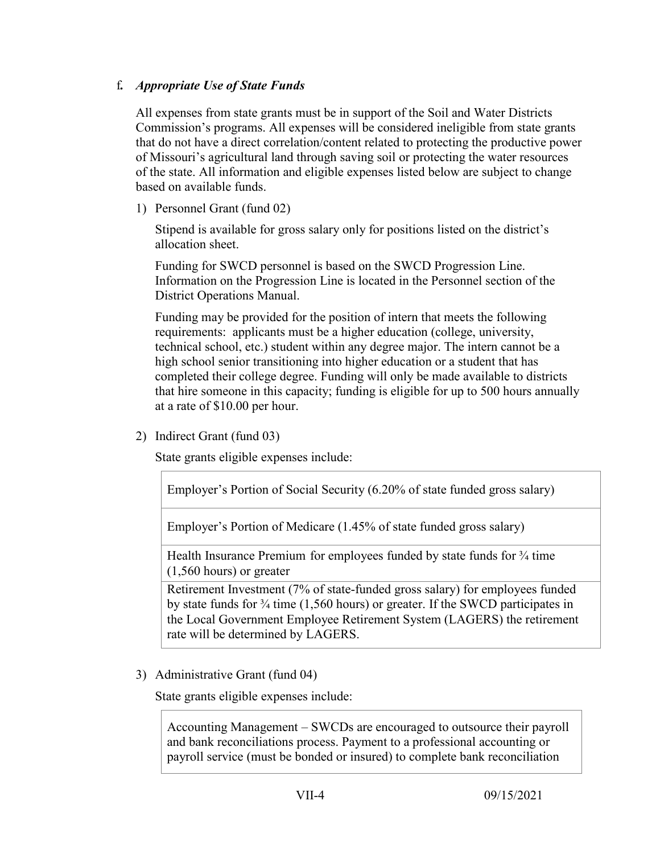### f*. Appropriate Use of State Funds*

All expenses from state grants must be in support of the Soil and Water Districts Commission's programs. All expenses will be considered ineligible from state grants that do not have a direct correlation/content related to protecting the productive power of Missouri's agricultural land through saving soil or protecting the water resources of the state. All information and eligible expenses listed below are subject to change based on available funds.

1) Personnel Grant (fund 02)

Stipend is available for gross salary only for positions listed on the district's allocation sheet.

Funding for SWCD personnel is based on the SWCD Progression Line. Information on the Progression Line is located in the Personnel section of the District Operations Manual.

Funding may be provided for the position of intern that meets the following requirements: applicants must be a higher education (college, university, technical school, etc.) student within any degree major. The intern cannot be a high school senior transitioning into higher education or a student that has completed their college degree. Funding will only be made available to districts that hire someone in this capacity; funding is eligible for up to 500 hours annually at a rate of \$10.00 per hour.

2) Indirect Grant (fund 03)

State grants eligible expenses include:

Employer's Portion of Social Security (6.20% of state funded gross salary)

Employer's Portion of Medicare (1.45% of state funded gross salary)

Health Insurance Premium for employees funded by state funds for  $\frac{3}{4}$  time (1,560 hours) or greater

Retirement Investment (7% of state-funded gross salary) for employees funded by state funds for ¾ time (1,560 hours) or greater. If the SWCD participates in the Local Government Employee Retirement System (LAGERS) the retirement rate will be determined by LAGERS.

3) Administrative Grant (fund 04)

State grants eligible expenses include:

Accounting Management – SWCDs are encouraged to outsource their payroll and bank reconciliations process. Payment to a professional accounting or payroll service (must be bonded or insured) to complete bank reconciliation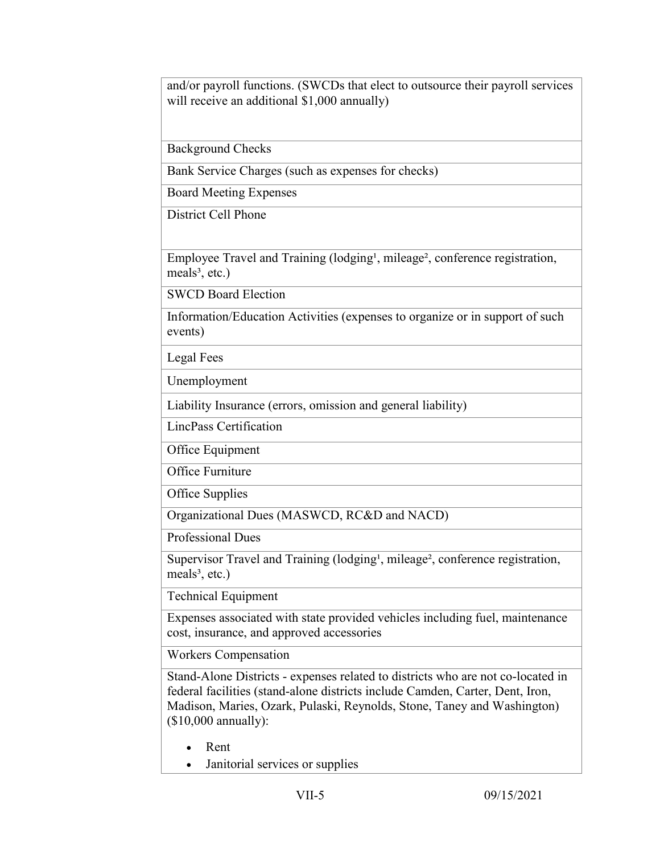and/or payroll functions. (SWCDs that elect to outsource their payroll services will receive an additional \$1,000 annually)

Background Checks

Bank Service Charges (such as expenses for checks)

Board Meeting Expenses

District Cell Phone

Employee Travel and Training (lodging<sup>1</sup>, mileage<sup>2</sup>, conference registration, meals $3$ , etc.)

SWCD Board Election

Information/Education Activities (expenses to organize or in support of such events)

Legal Fees

Unemployment

Liability Insurance (errors, omission and general liability)

LincPass Certification

Office Equipment

Office Furniture

Office Supplies

Organizational Dues (MASWCD, RC&D and NACD)

Professional Dues

Supervisor Travel and Training (lodging<sup>1</sup>, mileage<sup>2</sup>, conference registration, meals $3$ , etc.)

Technical Equipment

Expenses associated with state provided vehicles including fuel, maintenance cost, insurance, and approved accessories

Workers Compensation

Stand-Alone Districts - expenses related to districts who are not co-located in federal facilities (stand-alone districts include Camden, Carter, Dent, Iron, Madison, Maries, Ozark, Pulaski, Reynolds, Stone, Taney and Washington) (\$10,000 annually):

- Rent
- Janitorial services or supplies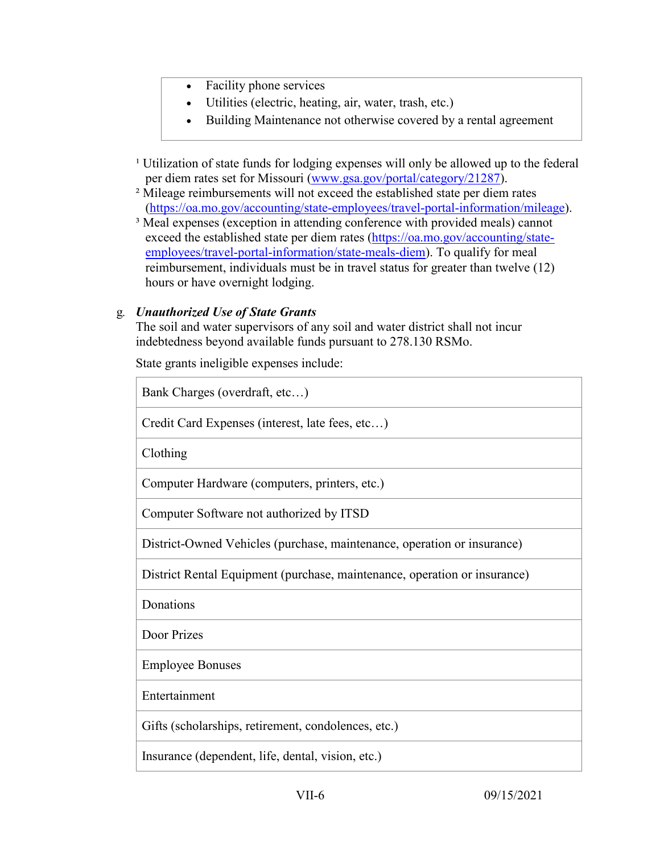- Facility phone services
	- Utilities (electric, heating, air, water, trash, etc.)
- Building Maintenance not otherwise covered by a rental agreement
- <sup>1</sup> Utilization of state funds for lodging expenses will only be allowed up to the federal per diem rates set for Missouri [\(www.gsa.gov/portal/category/21287\)](http://www.gsa.gov/portal/category/21287).
- ² Mileage reimbursements will not exceed the established state per diem rates [\(https://oa.mo.gov/accounting/state-employees/travel-portal-information/mileage\)](https://oa.mo.gov/accounting/state-employees/travel-portal-information/mileage).
- <sup>3</sup> Meal expenses (exception in attending conference with provided meals) cannot exceed the established state per diem rates [\(https://oa.mo.gov/accounting/state](https://oa.mo.gov/accounting/state-employees/travel-portal-information/state-meals-diem)[employees/travel-portal-information/state-meals-diem\)](https://oa.mo.gov/accounting/state-employees/travel-portal-information/state-meals-diem). To qualify for meal reimbursement, individuals must be in travel status for greater than twelve (12) hours or have overnight lodging.

#### g*. Unauthorized Use of State Grants*

The soil and water supervisors of any soil and water district shall not incur indebtedness beyond available funds pursuant to 278.130 RSMo.

State grants ineligible expenses include:

| Bank Charges (overdraft, etc)                                             |
|---------------------------------------------------------------------------|
| Credit Card Expenses (interest, late fees, etc)                           |
| Clothing                                                                  |
| Computer Hardware (computers, printers, etc.)                             |
| Computer Software not authorized by ITSD                                  |
| District-Owned Vehicles (purchase, maintenance, operation or insurance)   |
| District Rental Equipment (purchase, maintenance, operation or insurance) |
| Donations                                                                 |
| Door Prizes                                                               |
| <b>Employee Bonuses</b>                                                   |
| Entertainment                                                             |
| Gifts (scholarships, retirement, condolences, etc.)                       |
| Insurance (dependent, life, dental, vision, etc.)                         |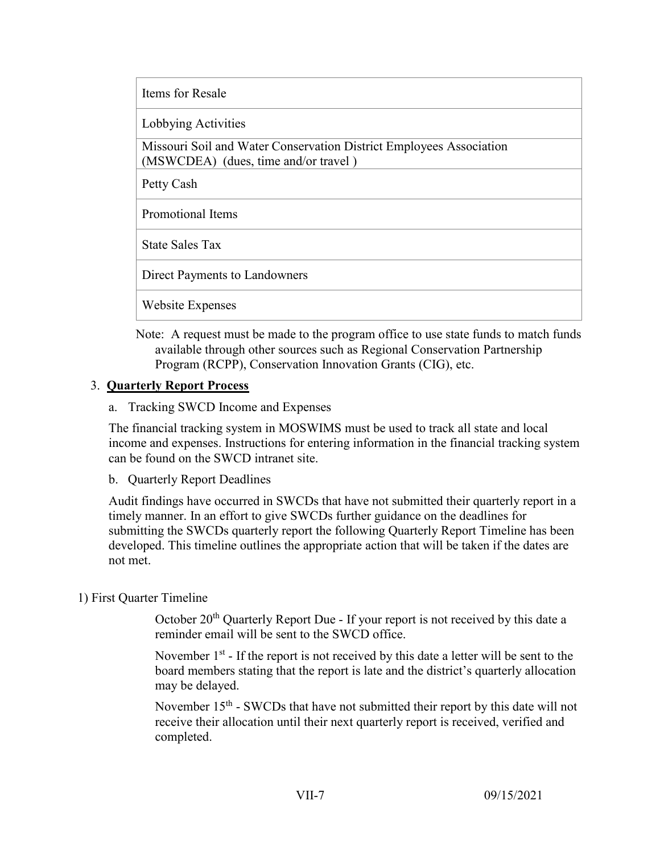Items for Resale

Lobbying Activities

Missouri Soil and Water Conservation District Employees Association (MSWCDEA) (dues, time and/or travel )

Petty Cash

Promotional Items

State Sales Tax

Direct Payments to Landowners

Website Expenses

Note: A request must be made to the program office to use state funds to match funds available through other sources such as Regional Conservation Partnership Program (RCPP), Conservation Innovation Grants (CIG), etc.

### 3. **Quarterly Report Process**

a. Tracking SWCD Income and Expenses

The financial tracking system in MOSWIMS must be used to track all state and local income and expenses. Instructions for entering information in the financial tracking system can be found on the SWCD intranet site.

b. Quarterly Report Deadlines

Audit findings have occurred in SWCDs that have not submitted their quarterly report in a timely manner. In an effort to give SWCDs further guidance on the deadlines for submitting the SWCDs quarterly report the following Quarterly Report Timeline has been developed. This timeline outlines the appropriate action that will be taken if the dates are not met.

#### 1) First Quarter Timeline

October 20<sup>th</sup> Quarterly Report Due - If your report is not received by this date a reminder email will be sent to the SWCD office.

November  $1<sup>st</sup>$  - If the report is not received by this date a letter will be sent to the board members stating that the report is late and the district's quarterly allocation may be delayed.

November 15<sup>th</sup> - SWCDs that have not submitted their report by this date will not receive their allocation until their next quarterly report is received, verified and completed.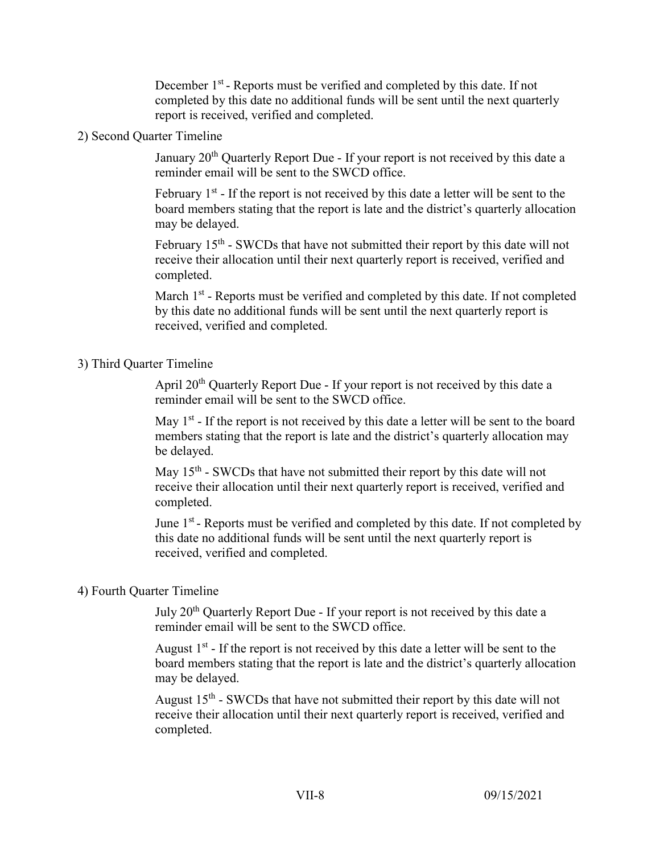December 1<sup>st</sup> - Reports must be verified and completed by this date. If not completed by this date no additional funds will be sent until the next quarterly report is received, verified and completed.

#### 2) Second Quarter Timeline

January  $20<sup>th</sup>$  Quarterly Report Due - If your report is not received by this date a reminder email will be sent to the SWCD office.

February  $1<sup>st</sup>$  - If the report is not received by this date a letter will be sent to the board members stating that the report is late and the district's quarterly allocation may be delayed.

February  $15<sup>th</sup>$  - SWCDs that have not submitted their report by this date will not receive their allocation until their next quarterly report is received, verified and completed.

March  $1<sup>st</sup>$  - Reports must be verified and completed by this date. If not completed by this date no additional funds will be sent until the next quarterly report is received, verified and completed.

#### 3) Third Quarter Timeline

April 20<sup>th</sup> Quarterly Report Due - If your report is not received by this date a reminder email will be sent to the SWCD office.

May  $1<sup>st</sup>$  - If the report is not received by this date a letter will be sent to the board members stating that the report is late and the district's quarterly allocation may be delayed.

May  $15<sup>th</sup>$  - SWCDs that have not submitted their report by this date will not receive their allocation until their next quarterly report is received, verified and completed.

June 1<sup>st</sup> - Reports must be verified and completed by this date. If not completed by this date no additional funds will be sent until the next quarterly report is received, verified and completed.

#### 4) Fourth Quarter Timeline

July 20<sup>th</sup> Quarterly Report Due - If your report is not received by this date a reminder email will be sent to the SWCD office.

August  $1<sup>st</sup>$  - If the report is not received by this date a letter will be sent to the board members stating that the report is late and the district's quarterly allocation may be delayed.

August  $15<sup>th</sup>$  - SWCDs that have not submitted their report by this date will not receive their allocation until their next quarterly report is received, verified and completed.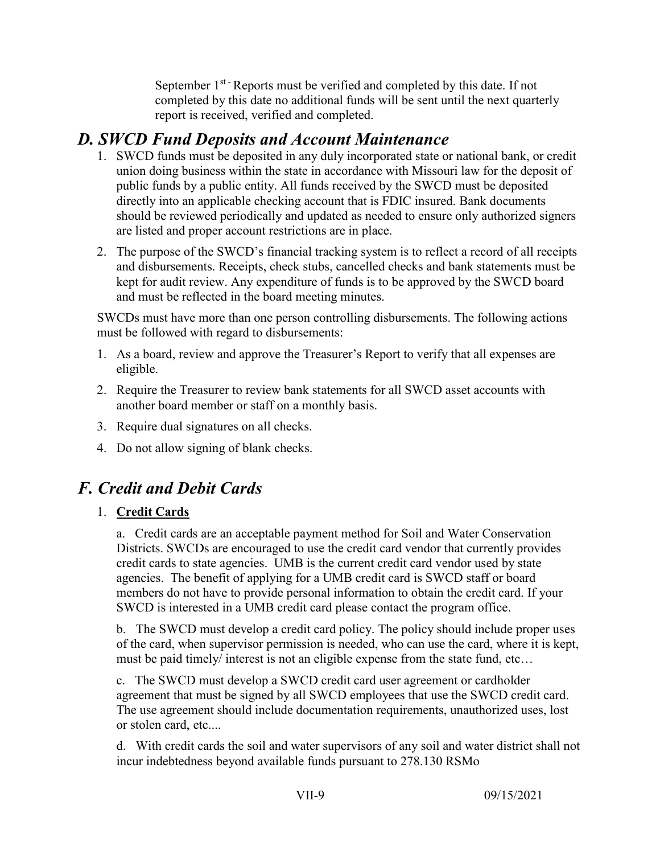September  $1<sup>st</sup>$ -Reports must be verified and completed by this date. If not completed by this date no additional funds will be sent until the next quarterly report is received, verified and completed.

## *D. SWCD Fund Deposits and Account Maintenance*

- 1. SWCD funds must be deposited in any duly incorporated state or national bank, or credit union doing business within the state in accordance with Missouri law for the deposit of public funds by a public entity. All funds received by the SWCD must be deposited directly into an applicable checking account that is FDIC insured. Bank documents should be reviewed periodically and updated as needed to ensure only authorized signers are listed and proper account restrictions are in place.
- 2. The purpose of the SWCD's financial tracking system is to reflect a record of all receipts and disbursements. Receipts, check stubs, cancelled checks and bank statements must be kept for audit review. Any expenditure of funds is to be approved by the SWCD board and must be reflected in the board meeting minutes.

SWCDs must have more than one person controlling disbursements. The following actions must be followed with regard to disbursements:

- 1. As a board, review and approve the Treasurer's Report to verify that all expenses are eligible.
- 2. Require the Treasurer to review bank statements for all SWCD asset accounts with another board member or staff on a monthly basis.
- 3. Require dual signatures on all checks.
- 4. Do not allow signing of blank checks.

# *F. Credit and Debit Cards*

## 1. **Credit Cards**

a. Credit cards are an acceptable payment method for Soil and Water Conservation Districts. SWCDs are encouraged to use the credit card vendor that currently provides credit cards to state agencies. UMB is the current credit card vendor used by state agencies. The benefit of applying for a UMB credit card is SWCD staff or board members do not have to provide personal information to obtain the credit card. If your SWCD is interested in a UMB credit card please contact the program office.

b. The SWCD must develop a credit card policy. The policy should include proper uses of the card, when supervisor permission is needed, who can use the card, where it is kept, must be paid timely/ interest is not an eligible expense from the state fund, etc…

c. The SWCD must develop a SWCD credit card user agreement or cardholder agreement that must be signed by all SWCD employees that use the SWCD credit card. The use agreement should include documentation requirements, unauthorized uses, lost or stolen card, etc....

d. With credit cards the soil and water supervisors of any soil and water district shall not incur indebtedness beyond available funds pursuant to 278.130 RSMo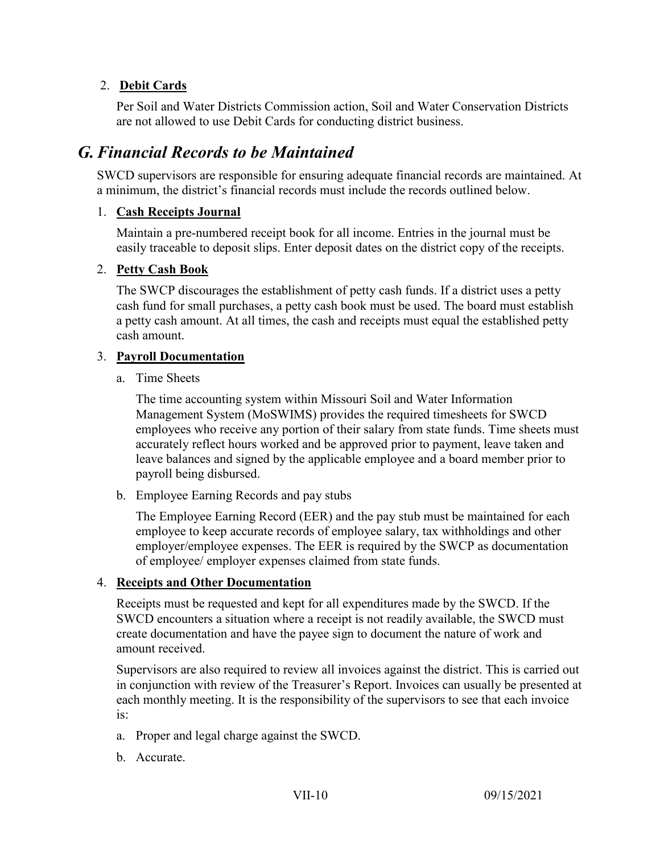## 2. **Debit Cards**

Per Soil and Water Districts Commission action, Soil and Water Conservation Districts are not allowed to use Debit Cards for conducting district business.

# *G.Financial Records to be Maintained*

SWCD supervisors are responsible for ensuring adequate financial records are maintained. At a minimum, the district's financial records must include the records outlined below.

### 1. **Cash Receipts Journal**

Maintain a pre-numbered receipt book for all income. Entries in the journal must be easily traceable to deposit slips. Enter deposit dates on the district copy of the receipts.

### 2. **Petty Cash Book**

The SWCP discourages the establishment of petty cash funds. If a district uses a petty cash fund for small purchases, a petty cash book must be used. The board must establish a petty cash amount. At all times, the cash and receipts must equal the established petty cash amount.

#### 3. **Payroll Documentation**

a. Time Sheets

The time accounting system within Missouri Soil and Water Information Management System (MoSWIMS) provides the required timesheets for SWCD employees who receive any portion of their salary from state funds. Time sheets must accurately reflect hours worked and be approved prior to payment, leave taken and leave balances and signed by the applicable employee and a board member prior to payroll being disbursed.

b. Employee Earning Records and pay stubs

The Employee Earning Record (EER) and the pay stub must be maintained for each employee to keep accurate records of employee salary, tax withholdings and other employer/employee expenses. The EER is required by the SWCP as documentation of employee/ employer expenses claimed from state funds.

### 4. **Receipts and Other Documentation**

Receipts must be requested and kept for all expenditures made by the SWCD. If the SWCD encounters a situation where a receipt is not readily available, the SWCD must create documentation and have the payee sign to document the nature of work and amount received.

Supervisors are also required to review all invoices against the district. This is carried out in conjunction with review of the Treasurer's Report. Invoices can usually be presented at each monthly meeting. It is the responsibility of the supervisors to see that each invoice is:

- a. Proper and legal charge against the SWCD.
- b. Accurate.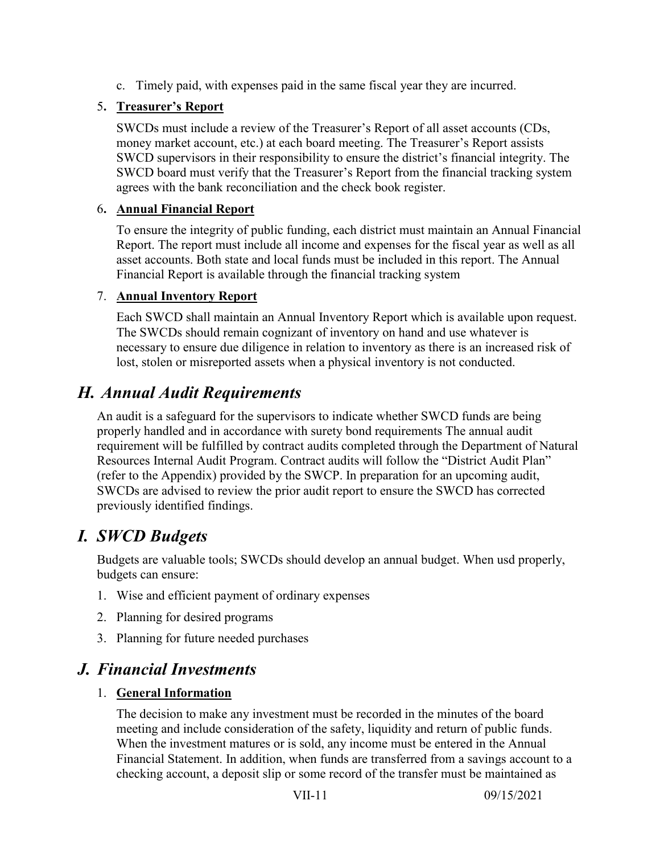c. Timely paid, with expenses paid in the same fiscal year they are incurred.

## 5**. Treasurer's Report**

SWCDs must include a review of the Treasurer's Report of all asset accounts (CDs, money market account, etc.) at each board meeting. The Treasurer's Report assists SWCD supervisors in their responsibility to ensure the district's financial integrity. The SWCD board must verify that the Treasurer's Report from the financial tracking system agrees with the bank reconciliation and the check book register.

### 6**. Annual Financial Report**

To ensure the integrity of public funding, each district must maintain an Annual Financial Report. The report must include all income and expenses for the fiscal year as well as all asset accounts. Both state and local funds must be included in this report. The Annual Financial Report is available through the financial tracking system

### 7. **Annual Inventory Report**

Each SWCD shall maintain an Annual Inventory Report which is available upon request. The SWCDs should remain cognizant of inventory on hand and use whatever is necessary to ensure due diligence in relation to inventory as there is an increased risk of lost, stolen or misreported assets when a physical inventory is not conducted.

# *H. Annual Audit Requirements*

An audit is a safeguard for the supervisors to indicate whether SWCD funds are being properly handled and in accordance with surety bond requirements The annual audit requirement will be fulfilled by contract audits completed through the Department of Natural Resources Internal Audit Program. Contract audits will follow the "District Audit Plan" (refer to the Appendix) provided by the SWCP. In preparation for an upcoming audit, SWCDs are advised to review the prior audit report to ensure the SWCD has corrected previously identified findings.

## *I. SWCD Budgets*

Budgets are valuable tools; SWCDs should develop an annual budget. When usd properly, budgets can ensure:

- 1. Wise and efficient payment of ordinary expenses
- 2. Planning for desired programs
- 3. Planning for future needed purchases

## *J. Financial Investments*

### 1. **General Information**

The decision to make any investment must be recorded in the minutes of the board meeting and include consideration of the safety, liquidity and return of public funds. When the investment matures or is sold, any income must be entered in the Annual Financial Statement. In addition, when funds are transferred from a savings account to a checking account, a deposit slip or some record of the transfer must be maintained as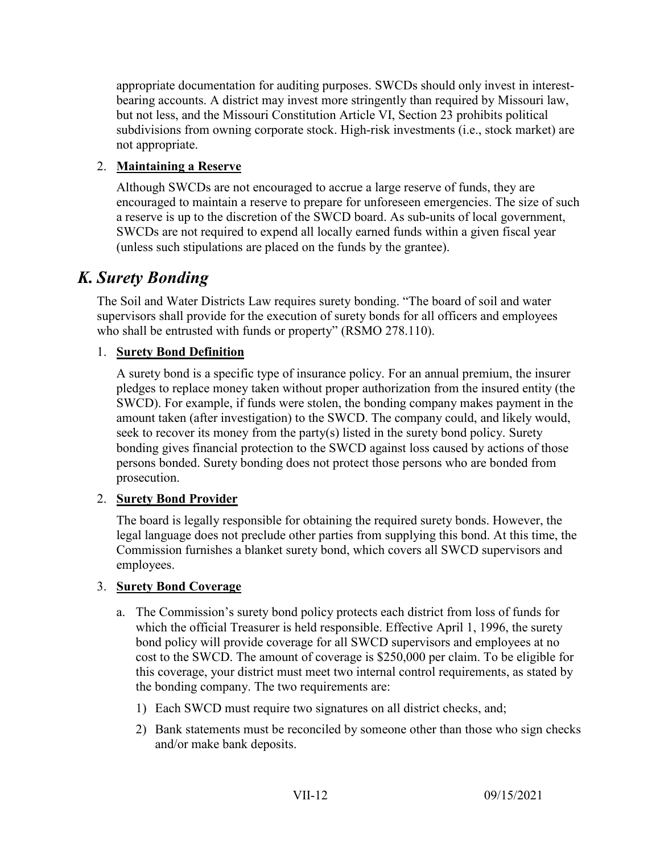appropriate documentation for auditing purposes. SWCDs should only invest in interestbearing accounts. A district may invest more stringently than required by Missouri law, but not less, and the Missouri Constitution Article VI, Section 23 prohibits political subdivisions from owning corporate stock. High-risk investments (i.e., stock market) are not appropriate.

## 2. **Maintaining a Reserve**

Although SWCDs are not encouraged to accrue a large reserve of funds, they are encouraged to maintain a reserve to prepare for unforeseen emergencies. The size of such a reserve is up to the discretion of the SWCD board. As sub-units of local government, SWCDs are not required to expend all locally earned funds within a given fiscal year (unless such stipulations are placed on the funds by the grantee).

# *K. Surety Bonding*

The Soil and Water Districts Law requires surety bonding. "The board of soil and water supervisors shall provide for the execution of surety bonds for all officers and employees who shall be entrusted with funds or property" (RSMO 278.110).

## 1. **Surety Bond Definition**

A surety bond is a specific type of insurance policy. For an annual premium, the insurer pledges to replace money taken without proper authorization from the insured entity (the SWCD). For example, if funds were stolen, the bonding company makes payment in the amount taken (after investigation) to the SWCD. The company could, and likely would, seek to recover its money from the party(s) listed in the surety bond policy. Surety bonding gives financial protection to the SWCD against loss caused by actions of those persons bonded. Surety bonding does not protect those persons who are bonded from prosecution.

### 2. **Surety Bond Provider**

The board is legally responsible for obtaining the required surety bonds. However, the legal language does not preclude other parties from supplying this bond. At this time, the Commission furnishes a blanket surety bond, which covers all SWCD supervisors and employees.

### 3. **Surety Bond Coverage**

- a. The Commission's surety bond policy protects each district from loss of funds for which the official Treasurer is held responsible. Effective April 1, 1996, the surety bond policy will provide coverage for all SWCD supervisors and employees at no cost to the SWCD. The amount of coverage is \$250,000 per claim. To be eligible for this coverage, your district must meet two internal control requirements, as stated by the bonding company. The two requirements are:
	- 1) Each SWCD must require two signatures on all district checks, and;
	- 2) Bank statements must be reconciled by someone other than those who sign checks and/or make bank deposits.